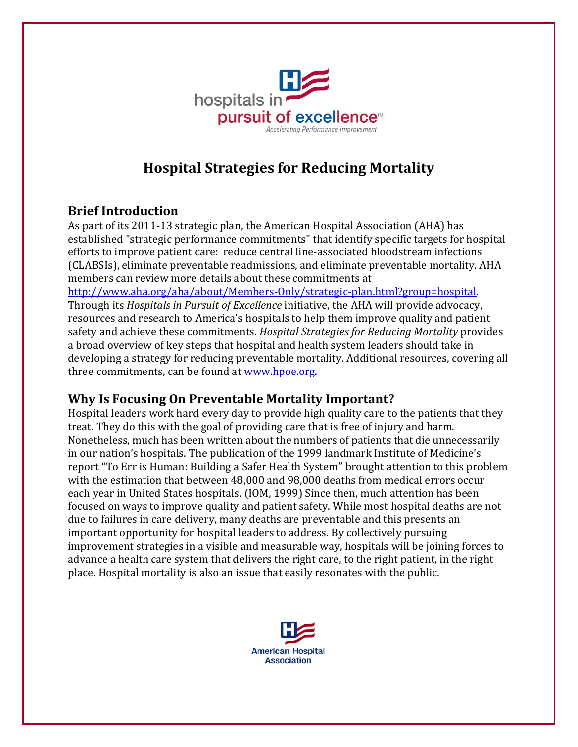

# **Hospital Strategies for Reducing Mortality**

## **Brief Introduction**

As part of its 2011-13 strategic plan, the American Hospital Association (AHA) has established "strategic performance commitments" that identify specific targets for hospital efforts to improve patient care: reduce central line-associated bloodstream infections (CLABSIs), eliminate preventable readmissions, and eliminate preventable mortality. AHA members can review more details about these commitments at

[http://www.aha.org/aha/about/Members-Only/strategic-plan.html?group=hospital.](http://www.aha.org/aha/about/Members-Only/strategic-plan.html?group=hospital) Through its *Hospitals in Pursuit of Excellence* initiative, the AHA will provide advocacy, resources and research to America's hospitals to help them improve quality and patient safety and achieve these commitments. *Hospital Strategies for Reducing Mortality* provides a broad overview of key steps that hospital and health system leaders should take in developing a strategy for reducing preventable mortality. Additional resources, covering all three commitments, can be found at [www.hpoe.org.](http://www.hpoe.org/)

### **Why Is Focusing On Preventable Mortality Important?**

Hospital leaders work hard every day to provide high quality care to the patients that they treat. They do this with the goal of providing care that is free of injury and harm. Nonetheless, much has been written about the numbers of patients that die unnecessarily in our nation's hospitals. The publication of the 1999 landmark Institute of Medicine's report "To Err is Human: Building a Safer Health System" brought attention to this problem with the estimation that between 48,000 and 98,000 deaths from medical errors occur each year in United States hospitals. (IOM, 1999) Since then, much attention has been focused on ways to improve quality and patient safety. While most hospital deaths are not due to failures in care delivery, many deaths are preventable and this presents an important opportunity for hospital leaders to address. By collectively pursuing improvement strategies in a visible and measurable way, hospitals will be joining forces to advance a health care system that delivers the right care, to the right patient, in the right place. Hospital mortality is also an issue that easily resonates with the public.

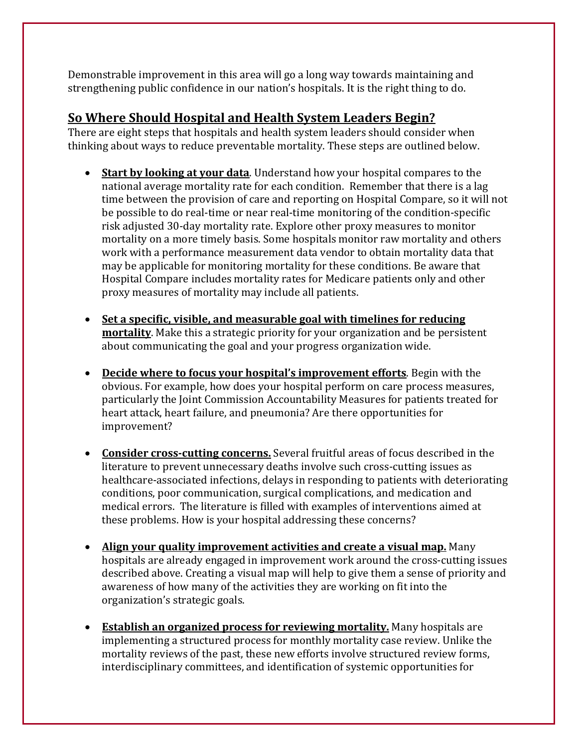Demonstrable improvement in this area will go a long way towards maintaining and strengthening public confidence in our nation's hospitals. It is the right thing to do.

#### **So Where Should Hospital and Health System Leaders Begin?**

There are eight steps that hospitals and health system leaders should consider when thinking about ways to reduce preventable mortality. These steps are outlined below.

- **Start by looking at your data**. Understand how your hospital compares to the national average mortality rate for each condition. Remember that there is a lag time between the provision of care and reporting on Hospital Compare, so it will not be possible to do real-time or near real-time monitoring of the condition-specific risk adjusted 30-day mortality rate. Explore other proxy measures to monitor mortality on a more timely basis. Some hospitals monitor raw mortality and others work with a performance measurement data vendor to obtain mortality data that may be applicable for monitoring mortality for these conditions. Be aware that Hospital Compare includes mortality rates for Medicare patients only and other proxy measures of mortality may include all patients.
- **Set a specific, visible, and measurable goal with timelines for reducing mortality**. Make this a strategic priority for your organization and be persistent about communicating the goal and your progress organization wide.
- **Decide where to focus your hospital's improvement efforts**. Begin with the obvious. For example, how does your hospital perform on care process measures, particularly the Joint Commission Accountability Measures for patients treated for heart attack, heart failure, and pneumonia? Are there opportunities for improvement?
- **Consider cross-cutting concerns.** Several fruitful areas of focus described in the literature to prevent unnecessary deaths involve such cross-cutting issues as healthcare-associated infections, delays in responding to patients with deteriorating conditions, poor communication, surgical complications, and medication and medical errors. The literature is filled with examples of interventions aimed at these problems. How is your hospital addressing these concerns?
- **Align your quality improvement activities and create a visual map.** Many hospitals are already engaged in improvement work around the cross-cutting issues described above. Creating a visual map will help to give them a sense of priority and awareness of how many of the activities they are working on fit into the organization's strategic goals.
- **Establish an organized process for reviewing mortality.** Many hospitals are implementing a structured process for monthly mortality case review. Unlike the mortality reviews of the past, these new efforts involve structured review forms, interdisciplinary committees, and identification of systemic opportunities for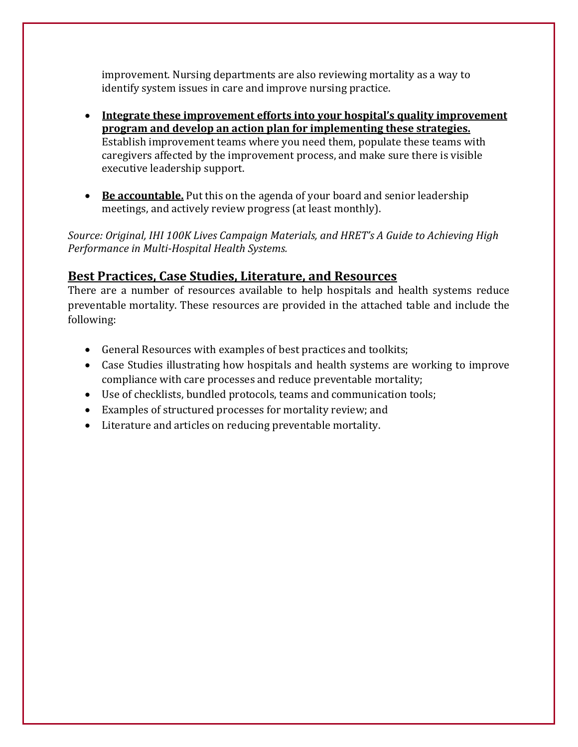improvement. Nursing departments are also reviewing mortality as a way to identify system issues in care and improve nursing practice.

- **Integrate these improvement efforts into your hospital's quality improvement program and develop an action plan for implementing these strategies.**  Establish improvement teams where you need them, populate these teams with caregivers affected by the improvement process, and make sure there is visible executive leadership support.
- **Be accountable.** Put this on the agenda of your board and senior leadership meetings, and actively review progress (at least monthly).

*Source: Original, IHI 100K Lives Campaign Materials, and HRET's A Guide to Achieving High Performance in Multi-Hospital Health Systems.*

### **Best Practices, Case Studies, Literature, and Resources**

There are a number of resources available to help hospitals and health systems reduce preventable mortality. These resources are provided in the attached table and include the following:

- General Resources with examples of best practices and toolkits;
- Case Studies illustrating how hospitals and health systems are working to improve compliance with care processes and reduce preventable mortality;
- Use of checklists, bundled protocols, teams and communication tools;
- Examples of structured processes for mortality review; and
- Literature and articles on reducing preventable mortality.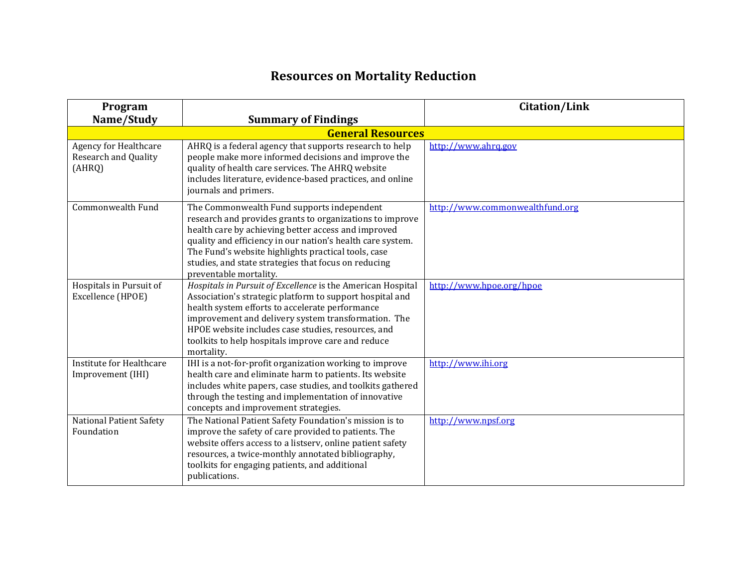# **Resources on Mortality Reduction**

| Program                                                               |                                                                                                                                                                                                                                                                                                                                                                      | <b>Citation/Link</b>            |
|-----------------------------------------------------------------------|----------------------------------------------------------------------------------------------------------------------------------------------------------------------------------------------------------------------------------------------------------------------------------------------------------------------------------------------------------------------|---------------------------------|
| Name/Study                                                            | <b>Summary of Findings</b>                                                                                                                                                                                                                                                                                                                                           |                                 |
|                                                                       | <b>General Resources</b>                                                                                                                                                                                                                                                                                                                                             |                                 |
| <b>Agency for Healthcare</b><br><b>Research and Quality</b><br>(AHRQ) | AHRQ is a federal agency that supports research to help<br>people make more informed decisions and improve the<br>quality of health care services. The AHRQ website<br>includes literature, evidence-based practices, and online<br>journals and primers.                                                                                                            | http://www.ahrq.gov             |
| Commonwealth Fund                                                     | The Commonwealth Fund supports independent<br>research and provides grants to organizations to improve<br>health care by achieving better access and improved<br>quality and efficiency in our nation's health care system.<br>The Fund's website highlights practical tools, case<br>studies, and state strategies that focus on reducing<br>preventable mortality. | http://www.commonwealthfund.org |
| Hospitals in Pursuit of<br>Excellence (HPOE)                          | Hospitals in Pursuit of Excellence is the American Hospital<br>Association's strategic platform to support hospital and<br>health system efforts to accelerate performance<br>improvement and delivery system transformation. The<br>HPOE website includes case studies, resources, and<br>toolkits to help hospitals improve care and reduce<br>mortality.          | http://www.hpoe.org/hpoe        |
| Institute for Healthcare<br>Improvement (IHI)                         | IHI is a not-for-profit organization working to improve<br>health care and eliminate harm to patients. Its website<br>includes white papers, case studies, and toolkits gathered<br>through the testing and implementation of innovative<br>concepts and improvement strategies.                                                                                     | http://www.ihi.org              |
| <b>National Patient Safety</b><br>Foundation                          | The National Patient Safety Foundation's mission is to<br>improve the safety of care provided to patients. The<br>website offers access to a listserv, online patient safety<br>resources, a twice-monthly annotated bibliography,<br>toolkits for engaging patients, and additional<br>publications.                                                                | http://www.npsf.org             |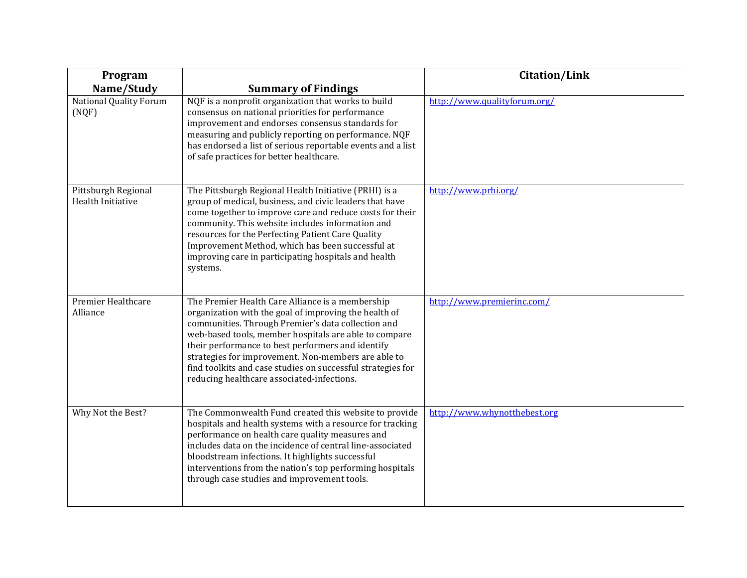| Program                                              |                                                                                                                                                                                                                                                                                                                                                                                                                                                   | <b>Citation/Link</b>         |
|------------------------------------------------------|---------------------------------------------------------------------------------------------------------------------------------------------------------------------------------------------------------------------------------------------------------------------------------------------------------------------------------------------------------------------------------------------------------------------------------------------------|------------------------------|
| Name/Study<br><b>National Quality Forum</b><br>(NQF) | <b>Summary of Findings</b><br>NQF is a nonprofit organization that works to build<br>consensus on national priorities for performance<br>improvement and endorses consensus standards for<br>measuring and publicly reporting on performance. NQF<br>has endorsed a list of serious reportable events and a list<br>of safe practices for better healthcare.                                                                                      | http://www.qualityforum.org/ |
| Pittsburgh Regional<br>Health Initiative             | The Pittsburgh Regional Health Initiative (PRHI) is a<br>group of medical, business, and civic leaders that have<br>come together to improve care and reduce costs for their<br>community. This website includes information and<br>resources for the Perfecting Patient Care Quality<br>Improvement Method, which has been successful at<br>improving care in participating hospitals and health<br>systems.                                     | http://www.prhi.org/         |
| Premier Healthcare<br>Alliance                       | The Premier Health Care Alliance is a membership<br>organization with the goal of improving the health of<br>communities. Through Premier's data collection and<br>web-based tools, member hospitals are able to compare<br>their performance to best performers and identify<br>strategies for improvement. Non-members are able to<br>find toolkits and case studies on successful strategies for<br>reducing healthcare associated-infections. | http://www.premierinc.com/   |
| Why Not the Best?                                    | The Commonwealth Fund created this website to provide<br>hospitals and health systems with a resource for tracking<br>performance on health care quality measures and<br>includes data on the incidence of central line-associated<br>bloodstream infections. It highlights successful<br>interventions from the nation's top performing hospitals<br>through case studies and improvement tools.                                                 | http://www.whynotthebest.org |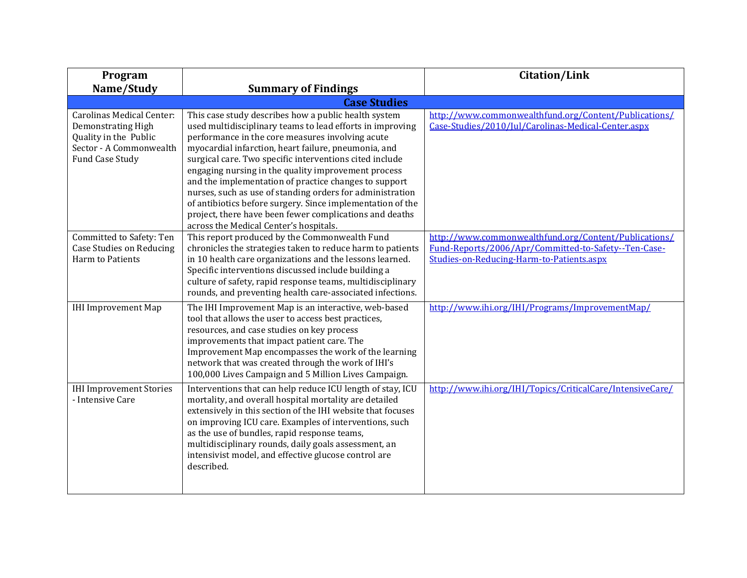| Program                                                                                                                |                                                                                                                                                                                                                                                                                                                                                                                                                                                                                                                                                                                                                                          | <b>Citation/Link</b>                                                                                                                                       |
|------------------------------------------------------------------------------------------------------------------------|------------------------------------------------------------------------------------------------------------------------------------------------------------------------------------------------------------------------------------------------------------------------------------------------------------------------------------------------------------------------------------------------------------------------------------------------------------------------------------------------------------------------------------------------------------------------------------------------------------------------------------------|------------------------------------------------------------------------------------------------------------------------------------------------------------|
| Name/Study                                                                                                             | <b>Summary of Findings</b>                                                                                                                                                                                                                                                                                                                                                                                                                                                                                                                                                                                                               |                                                                                                                                                            |
|                                                                                                                        | <b>Case Studies</b>                                                                                                                                                                                                                                                                                                                                                                                                                                                                                                                                                                                                                      |                                                                                                                                                            |
| Carolinas Medical Center:<br>Demonstrating High<br>Quality in the Public<br>Sector - A Commonwealth<br>Fund Case Study | This case study describes how a public health system<br>used multidisciplinary teams to lead efforts in improving<br>performance in the core measures involving acute<br>myocardial infarction, heart failure, pneumonia, and<br>surgical care. Two specific interventions cited include<br>engaging nursing in the quality improvement process<br>and the implementation of practice changes to support<br>nurses, such as use of standing orders for administration<br>of antibiotics before surgery. Since implementation of the<br>project, there have been fewer complications and deaths<br>across the Medical Center's hospitals. | http://www.commonwealthfund.org/Content/Publications/<br>Case-Studies/2010/Jul/Carolinas-Medical-Center.aspx                                               |
| Committed to Safety: Ten<br><b>Case Studies on Reducing</b><br>Harm to Patients                                        | This report produced by the Commonwealth Fund<br>chronicles the strategies taken to reduce harm to patients<br>in 10 health care organizations and the lessons learned.<br>Specific interventions discussed include building a<br>culture of safety, rapid response teams, multidisciplinary<br>rounds, and preventing health care-associated infections.                                                                                                                                                                                                                                                                                | http://www.commonwealthfund.org/Content/Publications/<br>Fund-Reports/2006/Apr/Committed-to-Safety--Ten-Case-<br>Studies-on-Reducing-Harm-to-Patients.aspx |
| <b>IHI Improvement Map</b>                                                                                             | The IHI Improvement Map is an interactive, web-based<br>tool that allows the user to access best practices,<br>resources, and case studies on key process<br>improvements that impact patient care. The<br>Improvement Map encompasses the work of the learning<br>network that was created through the work of IHI's<br>100,000 Lives Campaign and 5 Million Lives Campaign.                                                                                                                                                                                                                                                            | http://www.ihi.org/IHI/Programs/ImprovementMap/                                                                                                            |
| <b>IHI Improvement Stories</b><br>- Intensive Care                                                                     | Interventions that can help reduce ICU length of stay, ICU<br>mortality, and overall hospital mortality are detailed<br>extensively in this section of the IHI website that focuses<br>on improving ICU care. Examples of interventions, such<br>as the use of bundles, rapid response teams,<br>multidisciplinary rounds, daily goals assessment, an<br>intensivist model, and effective glucose control are<br>described.                                                                                                                                                                                                              | http://www.ihi.org/IHI/Topics/CriticalCare/IntensiveCare/                                                                                                  |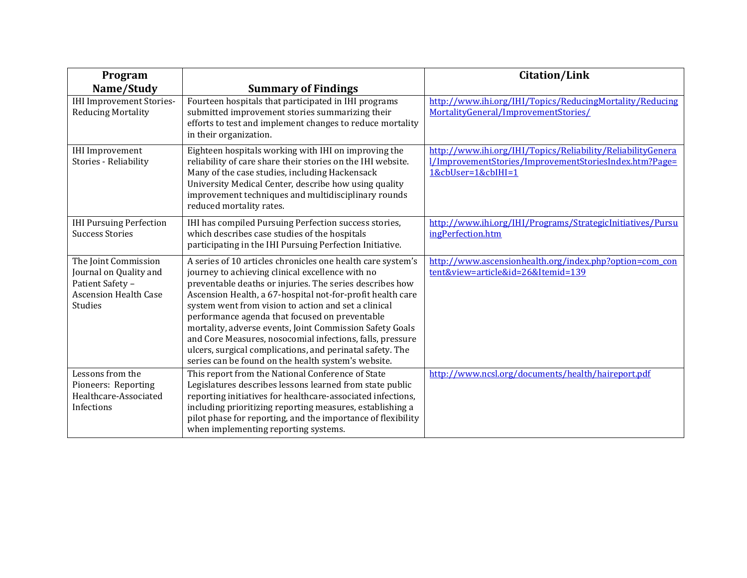| Program                                                                                                       |                                                                                                                                                                                                                                                                                                                                                                                                                                                                                                                                                                                                  | <b>Citation/Link</b>                                                                                                                        |
|---------------------------------------------------------------------------------------------------------------|--------------------------------------------------------------------------------------------------------------------------------------------------------------------------------------------------------------------------------------------------------------------------------------------------------------------------------------------------------------------------------------------------------------------------------------------------------------------------------------------------------------------------------------------------------------------------------------------------|---------------------------------------------------------------------------------------------------------------------------------------------|
| Name/Study                                                                                                    | <b>Summary of Findings</b>                                                                                                                                                                                                                                                                                                                                                                                                                                                                                                                                                                       |                                                                                                                                             |
| <b>IHI Improvement Stories-</b><br><b>Reducing Mortality</b>                                                  | Fourteen hospitals that participated in IHI programs<br>submitted improvement stories summarizing their<br>efforts to test and implement changes to reduce mortality<br>in their organization.                                                                                                                                                                                                                                                                                                                                                                                                   | http://www.ihi.org/IHI/Topics/ReducingMortality/Reducing<br>MortalityGeneral/ImprovementStories/                                            |
| <b>IHI</b> Improvement<br>Stories - Reliability                                                               | Eighteen hospitals working with IHI on improving the<br>reliability of care share their stories on the IHI website.<br>Many of the case studies, including Hackensack<br>University Medical Center, describe how using quality<br>improvement techniques and multidisciplinary rounds<br>reduced mortality rates.                                                                                                                                                                                                                                                                                | http://www.ihi.org/IHI/Topics/Reliability/ReliabilityGenera<br>l/ImprovementStories/ImprovementStoriesIndex.htm?Page=<br>1&cbUser=1&cbIHI=1 |
| <b>IHI Pursuing Perfection</b><br><b>Success Stories</b>                                                      | IHI has compiled Pursuing Perfection success stories,<br>which describes case studies of the hospitals<br>participating in the IHI Pursuing Perfection Initiative.                                                                                                                                                                                                                                                                                                                                                                                                                               | http://www.ihi.org/IHI/Programs/StrategicInitiatives/Pursu<br>ingPerfection.htm                                                             |
| The Joint Commission<br>Journal on Quality and<br>Patient Safety -<br><b>Ascension Health Case</b><br>Studies | A series of 10 articles chronicles one health care system's<br>journey to achieving clinical excellence with no<br>preventable deaths or injuries. The series describes how<br>Ascension Health, a 67-hospital not-for-profit health care<br>system went from vision to action and set a clinical<br>performance agenda that focused on preventable<br>mortality, adverse events, Joint Commission Safety Goals<br>and Core Measures, nosocomial infections, falls, pressure<br>ulcers, surgical complications, and perinatal safety. The<br>series can be found on the health system's website. | http://www.ascensionhealth.org/index.php?option=com_con<br>tent&view=article&id=26&Itemid=139                                               |
| Lessons from the<br>Pioneers: Reporting<br>Healthcare-Associated<br>Infections                                | This report from the National Conference of State<br>Legislatures describes lessons learned from state public<br>reporting initiatives for healthcare-associated infections,<br>including prioritizing reporting measures, establishing a<br>pilot phase for reporting, and the importance of flexibility<br>when implementing reporting systems.                                                                                                                                                                                                                                                | http://www.ncsl.org/documents/health/haireport.pdf                                                                                          |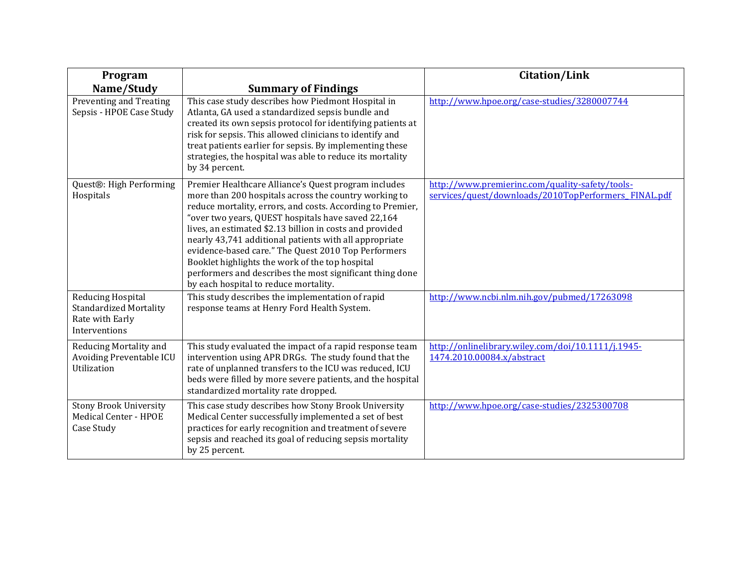| Program                                                                                |                                                                                                                                                                                                                                                                                                                                                                                                                                                                                                                                                                        | <b>Citation/Link</b>                                                                                    |
|----------------------------------------------------------------------------------------|------------------------------------------------------------------------------------------------------------------------------------------------------------------------------------------------------------------------------------------------------------------------------------------------------------------------------------------------------------------------------------------------------------------------------------------------------------------------------------------------------------------------------------------------------------------------|---------------------------------------------------------------------------------------------------------|
| Name/Study                                                                             | <b>Summary of Findings</b>                                                                                                                                                                                                                                                                                                                                                                                                                                                                                                                                             |                                                                                                         |
| Preventing and Treating<br>Sepsis - HPOE Case Study                                    | This case study describes how Piedmont Hospital in<br>Atlanta, GA used a standardized sepsis bundle and<br>created its own sepsis protocol for identifying patients at<br>risk for sepsis. This allowed clinicians to identify and<br>treat patients earlier for sepsis. By implementing these<br>strategies, the hospital was able to reduce its mortality<br>by 34 percent.                                                                                                                                                                                          | http://www.hpoe.org/case-studies/3280007744                                                             |
| Quest®: High Performing<br>Hospitals                                                   | Premier Healthcare Alliance's Quest program includes<br>more than 200 hospitals across the country working to<br>reduce mortality, errors, and costs. According to Premier,<br>"over two years, QUEST hospitals have saved 22,164<br>lives, an estimated \$2.13 billion in costs and provided<br>nearly 43,741 additional patients with all appropriate<br>evidence-based care." The Quest 2010 Top Performers<br>Booklet highlights the work of the top hospital<br>performers and describes the most significant thing done<br>by each hospital to reduce mortality. | http://www.premierinc.com/quality-safety/tools-<br>services/quest/downloads/2010TopPerformers FINAL.pdf |
| Reducing Hospital<br><b>Standardized Mortality</b><br>Rate with Early<br>Interventions | This study describes the implementation of rapid<br>response teams at Henry Ford Health System.                                                                                                                                                                                                                                                                                                                                                                                                                                                                        | http://www.ncbi.nlm.nih.gov/pubmed/17263098                                                             |
| Reducing Mortality and<br>Avoiding Preventable ICU<br>Utilization                      | This study evaluated the impact of a rapid response team<br>intervention using APR DRGs. The study found that the<br>rate of unplanned transfers to the ICU was reduced, ICU<br>beds were filled by more severe patients, and the hospital<br>standardized mortality rate dropped.                                                                                                                                                                                                                                                                                     | http://onlinelibrary.wiley.com/doi/10.1111/j.1945-<br>1474.2010.00084.x/abstract                        |
| <b>Stony Brook University</b><br>Medical Center - HPOE<br>Case Study                   | This case study describes how Stony Brook University<br>Medical Center successfully implemented a set of best<br>practices for early recognition and treatment of severe<br>sepsis and reached its goal of reducing sepsis mortality<br>by 25 percent.                                                                                                                                                                                                                                                                                                                 | http://www.hpoe.org/case-studies/2325300708                                                             |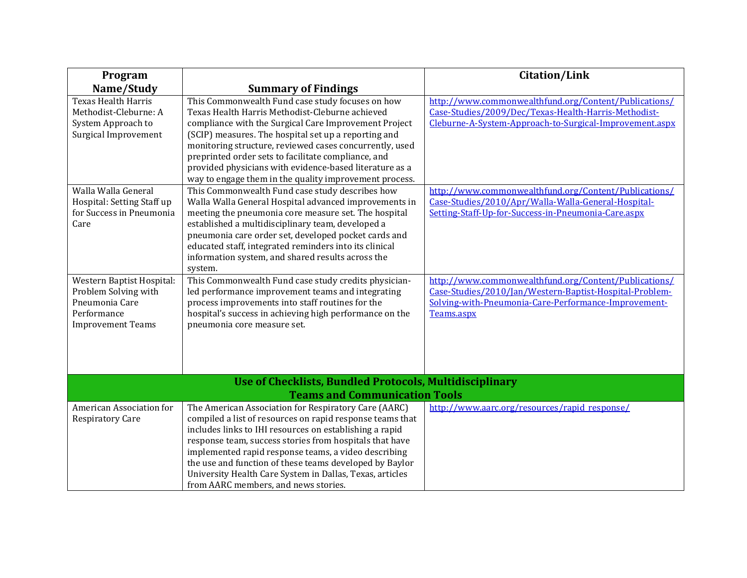| Program                                                                                                        |                                                                                                                                                                                                                                                                                                                                                                                                                                                                | <b>Citation/Link</b>                                                                                                                                                                   |
|----------------------------------------------------------------------------------------------------------------|----------------------------------------------------------------------------------------------------------------------------------------------------------------------------------------------------------------------------------------------------------------------------------------------------------------------------------------------------------------------------------------------------------------------------------------------------------------|----------------------------------------------------------------------------------------------------------------------------------------------------------------------------------------|
| Name/Study                                                                                                     | <b>Summary of Findings</b>                                                                                                                                                                                                                                                                                                                                                                                                                                     |                                                                                                                                                                                        |
| <b>Texas Health Harris</b><br>Methodist-Cleburne: A<br>System Approach to<br>Surgical Improvement              | This Commonwealth Fund case study focuses on how<br>Texas Health Harris Methodist-Cleburne achieved<br>compliance with the Surgical Care Improvement Project<br>(SCIP) measures. The hospital set up a reporting and<br>monitoring structure, reviewed cases concurrently, used<br>preprinted order sets to facilitate compliance, and<br>provided physicians with evidence-based literature as a<br>way to engage them in the quality improvement process.    | http://www.commonwealthfund.org/Content/Publications/<br>Case-Studies/2009/Dec/Texas-Health-Harris-Methodist-<br>Cleburne-A-System-Approach-to-Surgical-Improvement.aspx               |
| Walla Walla General<br>Hospital: Setting Staff up<br>for Success in Pneumonia<br>Care                          | This Commonwealth Fund case study describes how<br>Walla Walla General Hospital advanced improvements in<br>meeting the pneumonia core measure set. The hospital<br>established a multidisciplinary team, developed a<br>pneumonia care order set, developed pocket cards and<br>educated staff, integrated reminders into its clinical<br>information system, and shared results across the<br>system.                                                        | http://www.commonwealthfund.org/Content/Publications/<br>Case-Studies/2010/Apr/Walla-Walla-General-Hospital-<br>Setting-Staff-Up-for-Success-in-Pneumonia-Care.aspx                    |
| Western Baptist Hospital:<br>Problem Solving with<br>Pneumonia Care<br>Performance<br><b>Improvement Teams</b> | This Commonwealth Fund case study credits physician-<br>led performance improvement teams and integrating<br>process improvements into staff routines for the<br>hospital's success in achieving high performance on the<br>pneumonia core measure set.                                                                                                                                                                                                        | http://www.commonwealthfund.org/Content/Publications/<br>Case-Studies/2010/Jan/Western-Baptist-Hospital-Problem-<br>Solving-with-Pneumonia-Care-Performance-Improvement-<br>Teams.aspx |
|                                                                                                                | <b>Use of Checklists, Bundled Protocols, Multidisciplinary</b><br><b>Teams and Communication Tools</b>                                                                                                                                                                                                                                                                                                                                                         |                                                                                                                                                                                        |
| American Association for<br><b>Respiratory Care</b>                                                            | The American Association for Respiratory Care (AARC)<br>compiled a list of resources on rapid response teams that<br>includes links to IHI resources on establishing a rapid<br>response team, success stories from hospitals that have<br>implemented rapid response teams, a video describing<br>the use and function of these teams developed by Baylor<br>University Health Care System in Dallas, Texas, articles<br>from AARC members, and news stories. | http://www.aarc.org/resources/rapid_response/                                                                                                                                          |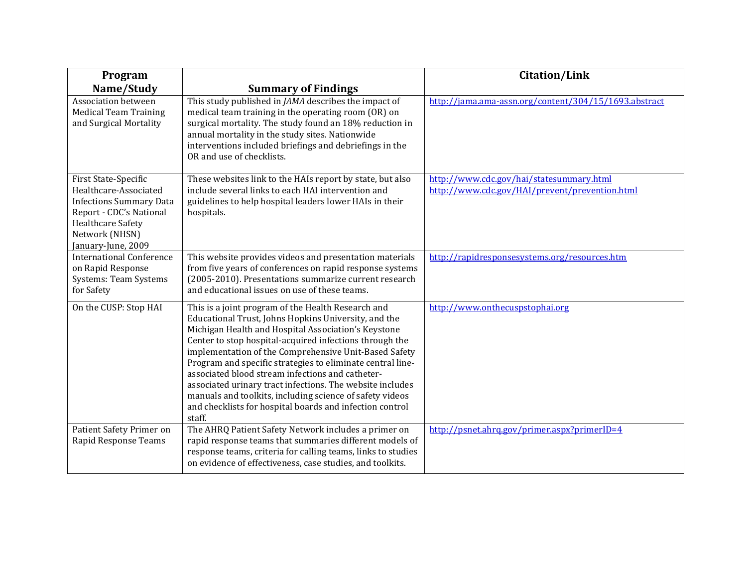| Program                                                                                                                                                                        |                                                                                                                                                                                                                                                                                                                                                                                                                                                                                                                                                                                                        | <b>Citation/Link</b>                                                                       |
|--------------------------------------------------------------------------------------------------------------------------------------------------------------------------------|--------------------------------------------------------------------------------------------------------------------------------------------------------------------------------------------------------------------------------------------------------------------------------------------------------------------------------------------------------------------------------------------------------------------------------------------------------------------------------------------------------------------------------------------------------------------------------------------------------|--------------------------------------------------------------------------------------------|
| Name/Study                                                                                                                                                                     | <b>Summary of Findings</b>                                                                                                                                                                                                                                                                                                                                                                                                                                                                                                                                                                             |                                                                                            |
| Association between<br><b>Medical Team Training</b><br>and Surgical Mortality                                                                                                  | This study published in <i>JAMA</i> describes the impact of<br>medical team training in the operating room (OR) on<br>surgical mortality. The study found an 18% reduction in<br>annual mortality in the study sites. Nationwide<br>interventions included briefings and debriefings in the<br>OR and use of checklists.                                                                                                                                                                                                                                                                               | http://jama.ama-assn.org/content/304/15/1693.abstract                                      |
| First State-Specific<br>Healthcare-Associated<br><b>Infections Summary Data</b><br>Report - CDC's National<br><b>Healthcare Safety</b><br>Network (NHSN)<br>January-June, 2009 | These websites link to the HAIs report by state, but also<br>include several links to each HAI intervention and<br>guidelines to help hospital leaders lower HAIs in their<br>hospitals.                                                                                                                                                                                                                                                                                                                                                                                                               | http://www.cdc.gov/hai/statesummary.html<br>http://www.cdc.gov/HAI/prevent/prevention.html |
| <b>International Conference</b><br>on Rapid Response<br><b>Systems: Team Systems</b><br>for Safety                                                                             | This website provides videos and presentation materials<br>from five years of conferences on rapid response systems<br>(2005-2010). Presentations summarize current research<br>and educational issues on use of these teams.                                                                                                                                                                                                                                                                                                                                                                          | http://rapidresponsesystems.org/resources.htm                                              |
| On the CUSP: Stop HAI                                                                                                                                                          | This is a joint program of the Health Research and<br>Educational Trust, Johns Hopkins University, and the<br>Michigan Health and Hospital Association's Keystone<br>Center to stop hospital-acquired infections through the<br>implementation of the Comprehensive Unit-Based Safety<br>Program and specific strategies to eliminate central line-<br>associated blood stream infections and catheter-<br>associated urinary tract infections. The website includes<br>manuals and toolkits, including science of safety videos<br>and checklists for hospital boards and infection control<br>staff. | http://www.onthecuspstophai.org                                                            |
| Patient Safety Primer on<br>Rapid Response Teams                                                                                                                               | The AHRQ Patient Safety Network includes a primer on<br>rapid response teams that summaries different models of<br>response teams, criteria for calling teams, links to studies<br>on evidence of effectiveness, case studies, and toolkits.                                                                                                                                                                                                                                                                                                                                                           | http://psnet.ahrg.gov/primer.aspx?primerID=4                                               |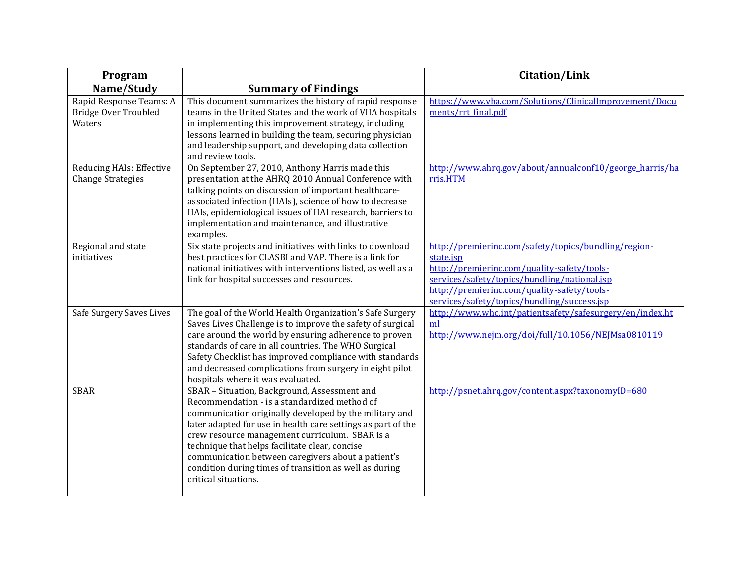| Program                                                          |                                                                                                                                                                                                                                                                                                                                                                                                                                                                    | <b>Citation/Link</b>                                                                                                                                                                                                                                           |
|------------------------------------------------------------------|--------------------------------------------------------------------------------------------------------------------------------------------------------------------------------------------------------------------------------------------------------------------------------------------------------------------------------------------------------------------------------------------------------------------------------------------------------------------|----------------------------------------------------------------------------------------------------------------------------------------------------------------------------------------------------------------------------------------------------------------|
| Name/Study                                                       | <b>Summary of Findings</b>                                                                                                                                                                                                                                                                                                                                                                                                                                         |                                                                                                                                                                                                                                                                |
| Rapid Response Teams: A<br><b>Bridge Over Troubled</b><br>Waters | This document summarizes the history of rapid response<br>teams in the United States and the work of VHA hospitals<br>in implementing this improvement strategy, including<br>lessons learned in building the team, securing physician<br>and leadership support, and developing data collection<br>and review tools.                                                                                                                                              | https://www.yha.com/Solutions/ClinicalImprovement/Docu<br>ments/rrt_final.pdf                                                                                                                                                                                  |
| Reducing HAIs: Effective<br><b>Change Strategies</b>             | On September 27, 2010, Anthony Harris made this<br>presentation at the AHRQ 2010 Annual Conference with<br>talking points on discussion of important healthcare-<br>associated infection (HAIs), science of how to decrease<br>HAIs, epidemiological issues of HAI research, barriers to<br>implementation and maintenance, and illustrative<br>examples.                                                                                                          | http://www.ahrg.gov/about/annualconf10/george harris/ha<br>rris.HTM                                                                                                                                                                                            |
| Regional and state<br>initiatives                                | Six state projects and initiatives with links to download<br>best practices for CLASBI and VAP. There is a link for<br>national initiatives with interventions listed, as well as a<br>link for hospital successes and resources.                                                                                                                                                                                                                                  | http://premierinc.com/safety/topics/bundling/region-<br>state.jsp<br>http://premierinc.com/quality-safety/tools-<br>services/safety/topics/bundling/national.jsp<br>http://premierinc.com/quality-safety/tools-<br>services/safety/topics/bundling/success.jsp |
| Safe Surgery Saves Lives                                         | The goal of the World Health Organization's Safe Surgery<br>Saves Lives Challenge is to improve the safety of surgical<br>care around the world by ensuring adherence to proven<br>standards of care in all countries. The WHO Surgical<br>Safety Checklist has improved compliance with standards<br>and decreased complications from surgery in eight pilot<br>hospitals where it was evaluated.                                                                 | http://www.who.int/patientsafety/safesurgery/en/index.ht<br>ml<br>http://www.nejm.org/doi/full/10.1056/NEJMsa0810119                                                                                                                                           |
| <b>SBAR</b>                                                      | SBAR - Situation, Background, Assessment and<br>Recommendation - is a standardized method of<br>communication originally developed by the military and<br>later adapted for use in health care settings as part of the<br>crew resource management curriculum. SBAR is a<br>technique that helps facilitate clear, concise<br>communication between caregivers about a patient's<br>condition during times of transition as well as during<br>critical situations. | http://psnet.ahrq.gov/content.aspx?taxonomyID=680                                                                                                                                                                                                              |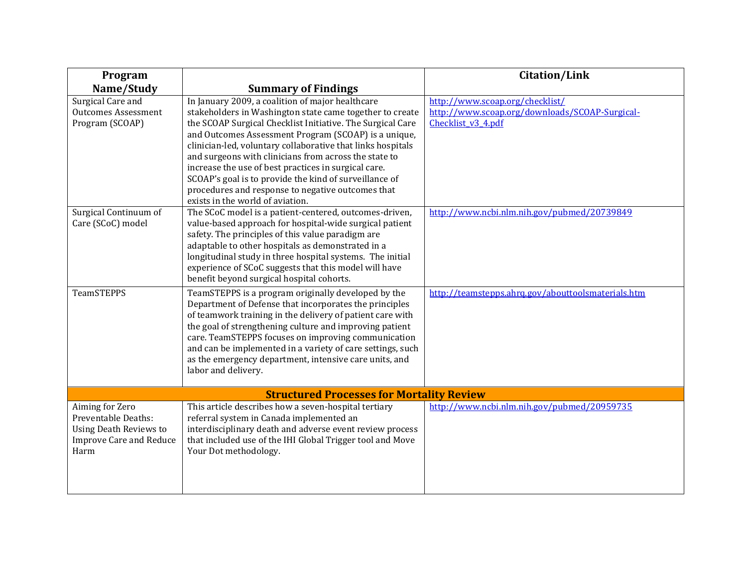| Program                                                                                                           |                                                                                                                                                                                                                                                                                                                                                                                                                                                                                                                                                                       | <b>Citation/Link</b>                                                                                    |
|-------------------------------------------------------------------------------------------------------------------|-----------------------------------------------------------------------------------------------------------------------------------------------------------------------------------------------------------------------------------------------------------------------------------------------------------------------------------------------------------------------------------------------------------------------------------------------------------------------------------------------------------------------------------------------------------------------|---------------------------------------------------------------------------------------------------------|
| Name/Study                                                                                                        | <b>Summary of Findings</b>                                                                                                                                                                                                                                                                                                                                                                                                                                                                                                                                            |                                                                                                         |
| Surgical Care and<br><b>Outcomes Assessment</b><br>Program (SCOAP)                                                | In January 2009, a coalition of major healthcare<br>stakeholders in Washington state came together to create<br>the SCOAP Surgical Checklist Initiative. The Surgical Care<br>and Outcomes Assessment Program (SCOAP) is a unique,<br>clinician-led, voluntary collaborative that links hospitals<br>and surgeons with clinicians from across the state to<br>increase the use of best practices in surgical care.<br>SCOAP's goal is to provide the kind of surveillance of<br>procedures and response to negative outcomes that<br>exists in the world of aviation. | http://www.scoap.org/checklist/<br>http://www.scoap.org/downloads/SCOAP-Surgical-<br>Checklist_v3_4.pdf |
| Surgical Continuum of<br>Care (SCoC) model                                                                        | The SCoC model is a patient-centered, outcomes-driven,<br>value-based approach for hospital-wide surgical patient<br>safety. The principles of this value paradigm are<br>adaptable to other hospitals as demonstrated in a<br>longitudinal study in three hospital systems. The initial<br>experience of SCoC suggests that this model will have<br>benefit beyond surgical hospital cohorts.                                                                                                                                                                        | http://www.ncbi.nlm.nih.gov/pubmed/20739849                                                             |
| <b>TeamSTEPPS</b>                                                                                                 | TeamSTEPPS is a program originally developed by the<br>Department of Defense that incorporates the principles<br>of teamwork training in the delivery of patient care with<br>the goal of strengthening culture and improving patient<br>care. TeamSTEPPS focuses on improving communication<br>and can be implemented in a variety of care settings, such<br>as the emergency department, intensive care units, and<br>labor and delivery.                                                                                                                           | http://teamstepps.ahrg.gov/abouttoolsmaterials.htm                                                      |
|                                                                                                                   | <b>Structured Processes for Mortality Review</b>                                                                                                                                                                                                                                                                                                                                                                                                                                                                                                                      |                                                                                                         |
| Aiming for Zero<br>Preventable Deaths:<br><b>Using Death Reviews to</b><br><b>Improve Care and Reduce</b><br>Harm | This article describes how a seven-hospital tertiary<br>referral system in Canada implemented an<br>interdisciplinary death and adverse event review process<br>that included use of the IHI Global Trigger tool and Move<br>Your Dot methodology.                                                                                                                                                                                                                                                                                                                    | http://www.ncbi.nlm.nih.gov/pubmed/20959735                                                             |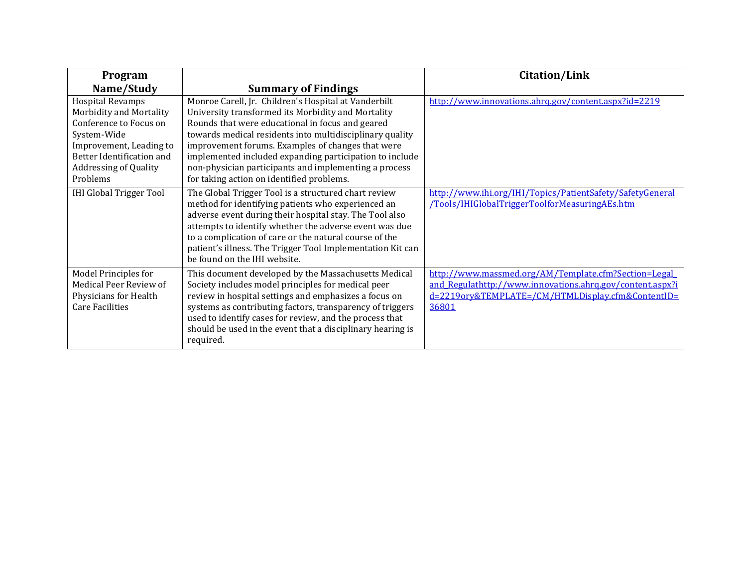| Program                                                                                                                                                                                         |                                                                                                                                                                                                                                                                                                                                                                                                                                                  | <b>Citation/Link</b>                                                                                                                                                            |
|-------------------------------------------------------------------------------------------------------------------------------------------------------------------------------------------------|--------------------------------------------------------------------------------------------------------------------------------------------------------------------------------------------------------------------------------------------------------------------------------------------------------------------------------------------------------------------------------------------------------------------------------------------------|---------------------------------------------------------------------------------------------------------------------------------------------------------------------------------|
| Name/Study                                                                                                                                                                                      | <b>Summary of Findings</b>                                                                                                                                                                                                                                                                                                                                                                                                                       |                                                                                                                                                                                 |
| <b>Hospital Revamps</b><br>Morbidity and Mortality<br>Conference to Focus on<br>System-Wide<br>Improvement, Leading to<br>Better Identification and<br><b>Addressing of Quality</b><br>Problems | Monroe Carell, Jr. Children's Hospital at Vanderbilt<br>University transformed its Morbidity and Mortality<br>Rounds that were educational in focus and geared<br>towards medical residents into multidisciplinary quality<br>improvement forums. Examples of changes that were<br>implemented included expanding participation to include<br>non-physician participants and implementing a process<br>for taking action on identified problems. | http://www.innovations.ahrq.gov/content.aspx?id=2219                                                                                                                            |
| <b>IHI Global Trigger Tool</b>                                                                                                                                                                  | The Global Trigger Tool is a structured chart review<br>method for identifying patients who experienced an<br>adverse event during their hospital stay. The Tool also<br>attempts to identify whether the adverse event was due<br>to a complication of care or the natural course of the<br>patient's illness. The Trigger Tool Implementation Kit can<br>be found on the IHI website.                                                          | http://www.ihi.org/IHI/Topics/PatientSafety/SafetyGeneral<br>/Tools/IHIGlobalTriggerToolforMeasuringAEs.htm                                                                     |
| Model Principles for<br>Medical Peer Review of<br>Physicians for Health<br><b>Care Facilities</b>                                                                                               | This document developed by the Massachusetts Medical<br>Society includes model principles for medical peer<br>review in hospital settings and emphasizes a focus on<br>systems as contributing factors, transparency of triggers<br>used to identify cases for review, and the process that<br>should be used in the event that a disciplinary hearing is<br>required.                                                                           | http://www.massmed.org/AM/Template.cfm?Section=Legal<br>and_Regulathttp://www.innovations.ahrq.gov/content.aspx?i<br>d=2219ory&TEMPLATE=/CM/HTMLDisplay.cfm&ContentID=<br>36801 |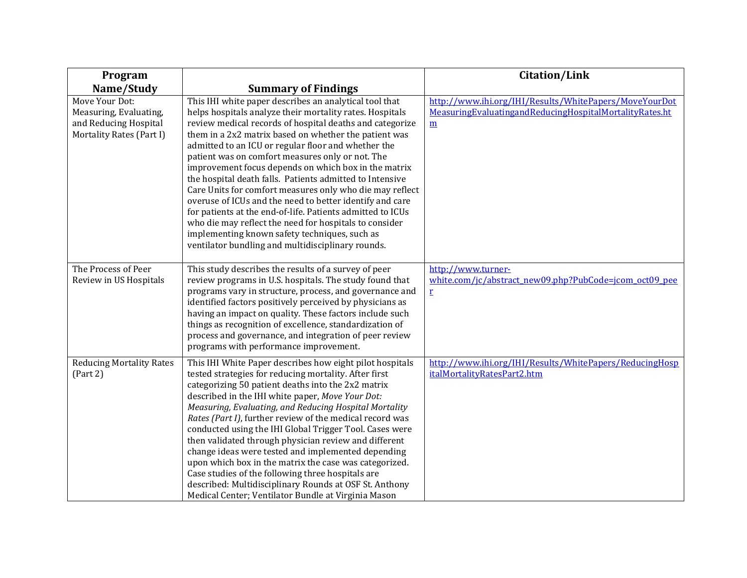| Program                                                                                       |                                                                                                                                                                                                                                                                                                                                                                                                                                                                                                                                                                                                                                                                                                                                                                                                                              | <b>Citation/Link</b>                                                                                                                 |
|-----------------------------------------------------------------------------------------------|------------------------------------------------------------------------------------------------------------------------------------------------------------------------------------------------------------------------------------------------------------------------------------------------------------------------------------------------------------------------------------------------------------------------------------------------------------------------------------------------------------------------------------------------------------------------------------------------------------------------------------------------------------------------------------------------------------------------------------------------------------------------------------------------------------------------------|--------------------------------------------------------------------------------------------------------------------------------------|
| Name/Study                                                                                    | <b>Summary of Findings</b>                                                                                                                                                                                                                                                                                                                                                                                                                                                                                                                                                                                                                                                                                                                                                                                                   |                                                                                                                                      |
| Move Your Dot:<br>Measuring, Evaluating,<br>and Reducing Hospital<br>Mortality Rates (Part I) | This IHI white paper describes an analytical tool that<br>helps hospitals analyze their mortality rates. Hospitals<br>review medical records of hospital deaths and categorize<br>them in a 2x2 matrix based on whether the patient was<br>admitted to an ICU or regular floor and whether the<br>patient was on comfort measures only or not. The<br>improvement focus depends on which box in the matrix<br>the hospital death falls. Patients admitted to Intensive<br>Care Units for comfort measures only who die may reflect<br>overuse of ICUs and the need to better identify and care<br>for patients at the end-of-life. Patients admitted to ICUs<br>who die may reflect the need for hospitals to consider<br>implementing known safety techniques, such as<br>ventilator bundling and multidisciplinary rounds. | http://www.ihi.org/IHI/Results/WhitePapers/MoveYourDot<br>MeasuringEvaluatingandReducingHospitalMortalityRates.ht<br>$\underline{m}$ |
| The Process of Peer<br>Review in US Hospitals                                                 | This study describes the results of a survey of peer<br>review programs in U.S. hospitals. The study found that<br>programs vary in structure, process, and governance and<br>identified factors positively perceived by physicians as<br>having an impact on quality. These factors include such<br>things as recognition of excellence, standardization of<br>process and governance, and integration of peer review<br>programs with performance improvement.                                                                                                                                                                                                                                                                                                                                                             | http://www.turner-<br>white.com/jc/abstract_new09.php?PubCode=jcom_oct09_pee<br>$\mathbf{r}$                                         |
| <b>Reducing Mortality Rates</b><br>(Part 2)                                                   | This IHI White Paper describes how eight pilot hospitals<br>tested strategies for reducing mortality. After first<br>categorizing 50 patient deaths into the 2x2 matrix<br>described in the IHI white paper, Move Your Dot:<br>Measuring, Evaluating, and Reducing Hospital Mortality<br>Rates (Part I), further review of the medical record was<br>conducted using the IHI Global Trigger Tool. Cases were<br>then validated through physician review and different<br>change ideas were tested and implemented depending<br>upon which box in the matrix the case was categorized.<br>Case studies of the following three hospitals are<br>described: Multidisciplinary Rounds at OSF St. Anthony<br>Medical Center; Ventilator Bundle at Virginia Mason                                                                  | http://www.ihi.org/IHI/Results/WhitePapers/ReducingHosp<br>italMortalityRatesPart2.htm                                               |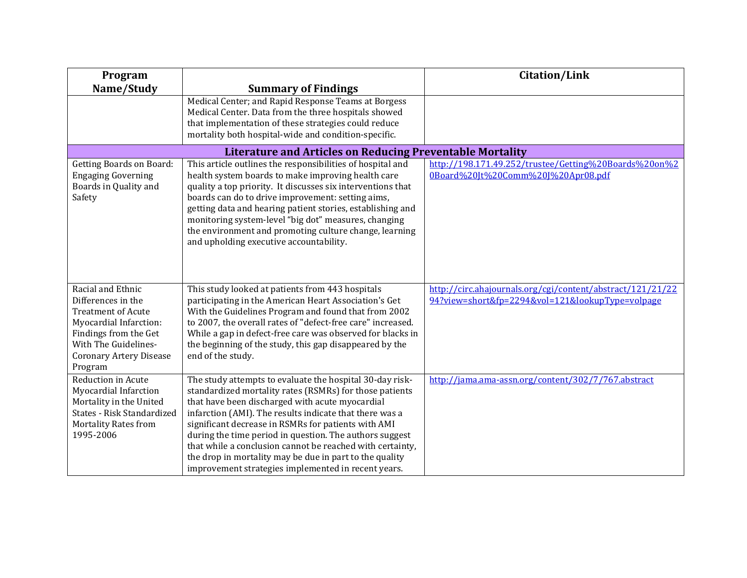| Program                                                                                                                                                                                      |                                                                                                                                                                                                                                                                                                                                                                                                                                                                                                                                    | <b>Citation/Link</b>                                                                                           |
|----------------------------------------------------------------------------------------------------------------------------------------------------------------------------------------------|------------------------------------------------------------------------------------------------------------------------------------------------------------------------------------------------------------------------------------------------------------------------------------------------------------------------------------------------------------------------------------------------------------------------------------------------------------------------------------------------------------------------------------|----------------------------------------------------------------------------------------------------------------|
| Name/Study                                                                                                                                                                                   | <b>Summary of Findings</b><br>Medical Center; and Rapid Response Teams at Borgess<br>Medical Center. Data from the three hospitals showed<br>that implementation of these strategies could reduce<br>mortality both hospital-wide and condition-specific.                                                                                                                                                                                                                                                                          |                                                                                                                |
|                                                                                                                                                                                              | <b>Literature and Articles on Reducing Preventable Mortality</b>                                                                                                                                                                                                                                                                                                                                                                                                                                                                   |                                                                                                                |
| <b>Getting Boards on Board:</b><br><b>Engaging Governing</b><br>Boards in Quality and<br>Safety                                                                                              | This article outlines the responsibilities of hospital and<br>health system boards to make improving health care<br>quality a top priority. It discusses six interventions that<br>boards can do to drive improvement: setting aims,<br>getting data and hearing patient stories, establishing and<br>monitoring system-level "big dot" measures, changing<br>the environment and promoting culture change, learning<br>and upholding executive accountability.                                                                    | http://198.171.49.252/trustee/Getting%20Boards%20on%2<br>0Board%20Jt%20Comm%20J%20Apr08.pdf                    |
| Racial and Ethnic<br>Differences in the<br><b>Treatment of Acute</b><br>Myocardial Infarction:<br>Findings from the Get<br>With The Guidelines-<br><b>Coronary Artery Disease</b><br>Program | This study looked at patients from 443 hospitals<br>participating in the American Heart Association's Get<br>With the Guidelines Program and found that from 2002<br>to 2007, the overall rates of "defect-free care" increased.<br>While a gap in defect-free care was observed for blacks in<br>the beginning of the study, this gap disappeared by the<br>end of the study.                                                                                                                                                     | http://circ.ahajournals.org/cgi/content/abstract/121/21/22<br>94?view=short&fp=2294&vol=121&lookupType=volpage |
| <b>Reduction in Acute</b><br>Myocardial Infarction<br>Mortality in the United<br>States - Risk Standardized<br><b>Mortality Rates from</b><br>1995-2006                                      | The study attempts to evaluate the hospital 30-day risk-<br>standardized mortality rates (RSMRs) for those patients<br>that have been discharged with acute myocardial<br>infarction (AMI). The results indicate that there was a<br>significant decrease in RSMRs for patients with AMI<br>during the time period in question. The authors suggest<br>that while a conclusion cannot be reached with certainty,<br>the drop in mortality may be due in part to the quality<br>improvement strategies implemented in recent years. | http://jama.ama-assn.org/content/302/7/767.abstract                                                            |